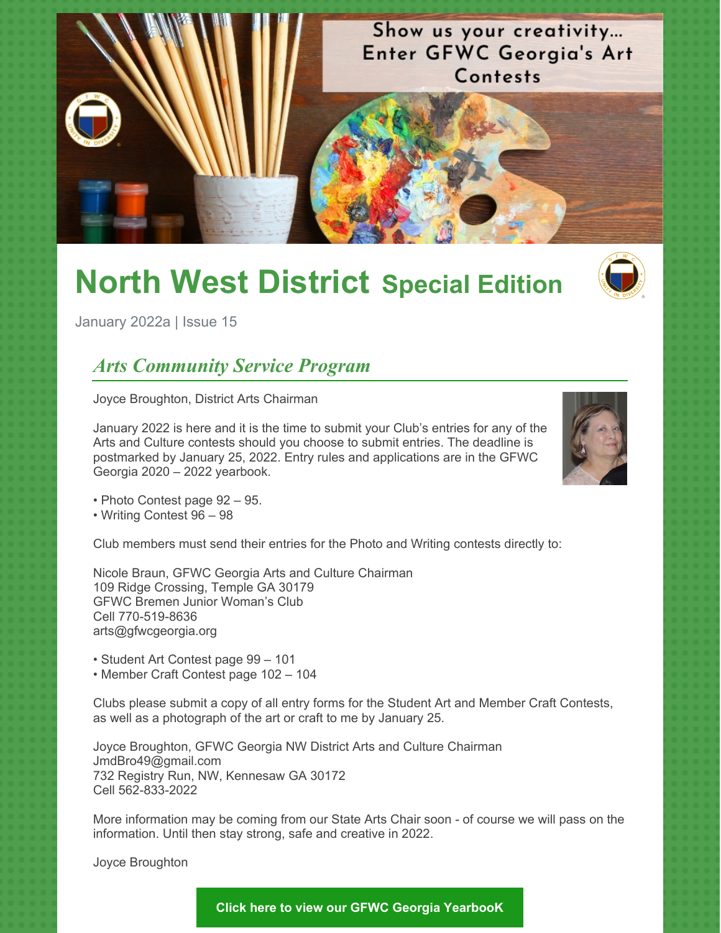

# **North West District Special Edition**



January 2022a | Issue 15

## *Arts Community Service Program*

Joyce Broughton, District Arts Chairman

January 2022 is here and it is the time to submit your Club's entries for any of the Arts and Culture contests should you choose to submit entries. The deadline is postmarked by January 25, 2022. Entry rules and applications are in the GFWC Georgia 2020 – 2022 yearbook.



• Photo Contest page 92 – 95.

• Writing Contest 96 – 98

Club members must send their entries for the Photo and Writing contests directly to:

Nicole Braun, GFWC Georgia Arts and Culture Chairman 109 Ridge Crossing, Temple GA 30179 GFWC Bremen Junior Woman's Club Cell 770-519-8636 arts@gfwcgeorgia.org

• Student Art Contest page 99 – 101

• Member Craft Contest page 102 – 104

Clubs please submit a copy of all entry forms for the Student Art and Member Craft Contests, as well as a photograph of the art or craft to me by January 25.

Joyce Broughton, GFWC Georgia NW District Arts and Culture Chairman JmdBro49@gmail.com 732 Registry Run, NW, Kennesaw GA 30172 Cell 562-833-2022

More information may be coming from our State Arts Chair soon - of course we will pass on the information. Until then stay strong, safe and creative in 2022.

Joyce Broughton

**Click here to view our GFWC Georgia [YearbooK](https://gfwcgeorgia.files.wordpress.com/2020/11/revised2020-2022-yeabook.docx-google-docs.pdf)**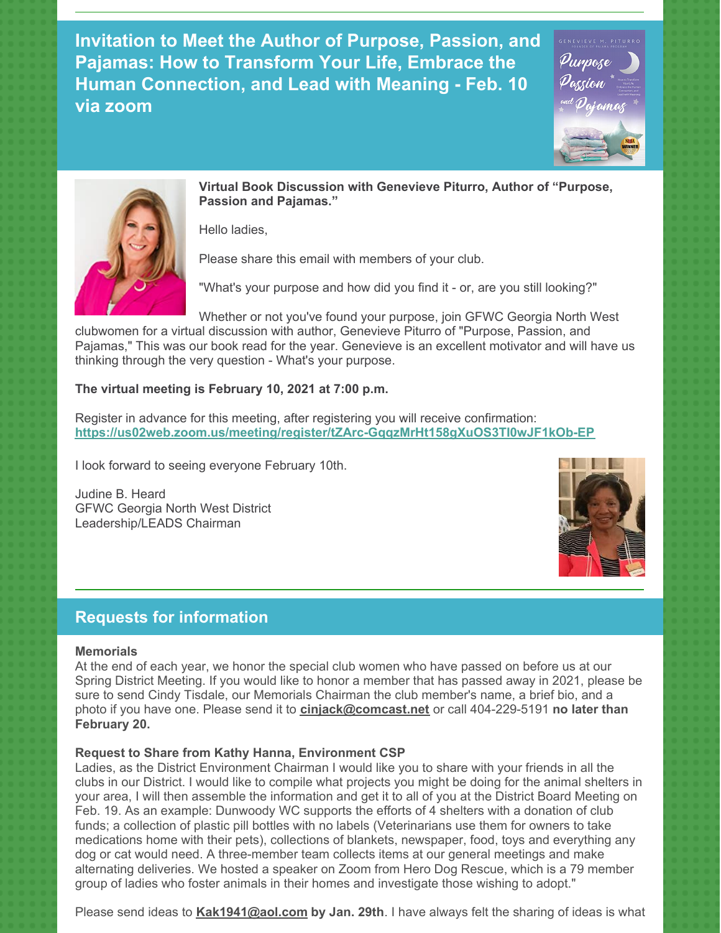**Invitation to Meet the Author of Purpose, Passion, and Pajamas: How to Transform Your Life, Embrace the Human Connection, and Lead with Meaning - Feb. 10 via zoom**





**Virtual Book Discussion with Genevieve Piturro, Author of "Purpose, Passion and Pajamas."**

Hello ladies,

Please share this email with members of your club.

"What's your purpose and how did you find it - or, are you still looking?"

Whether or not you've found your purpose, join GFWC Georgia North West clubwomen for a virtual discussion with author, Genevieve Piturro of "Purpose, Passion, and Pajamas," This was our book read for the year. Genevieve is an excellent motivator and will have us thinking through the very question - What's your purpose.

#### **The virtual meeting is February 10, 2021 at 7:00 p.m.**

Register in advance for this meeting, after registering you will receive confirmation: **<https://us02web.zoom.us/meeting/register/tZArc-GqqzMrHt158gXuOS3TI0wJF1kOb-EP>**

I look forward to seeing everyone February 10th.

Judine B. Heard GFWC Georgia North West District Leadership/LEADS Chairman



### **Requests for information**

#### **Memorials**

At the end of each year, we honor the special club women who have passed on before us at our Spring District Meeting. If you would like to honor a member that has passed away in 2021, please be sure to send Cindy Tisdale, our Memorials Chairman the club member's name, a brief bio, and a photo if you have one. Please send it to **[cinjack@comcast.net](mailto:cinjack@comcast.net)** or call 404-229-5191 **no later than February 20.**

#### **Request to Share from Kathy Hanna, Environment CSP**

Ladies, as the District Environment Chairman I would like you to share with your friends in all the clubs in our District. I would like to compile what projects you might be doing for the animal shelters in your area, I will then assemble the information and get it to all of you at the District Board Meeting on Feb. 19. As an example: Dunwoody WC supports the efforts of 4 shelters with a donation of club funds; a collection of plastic pill bottles with no labels (Veterinarians use them for owners to take medications home with their pets), collections of blankets, newspaper, food, toys and everything any dog or cat would need. A three-member team collects items at our general meetings and make alternating deliveries. We hosted a speaker on Zoom from Hero Dog Rescue, which is a 79 member group of ladies who foster animals in their homes and investigate those wishing to adopt."

Please send ideas to **[Kak1941@aol.com](mailto:Kak1941@aol.com) by Jan. 29th**. I have always felt the sharing of ideas is what